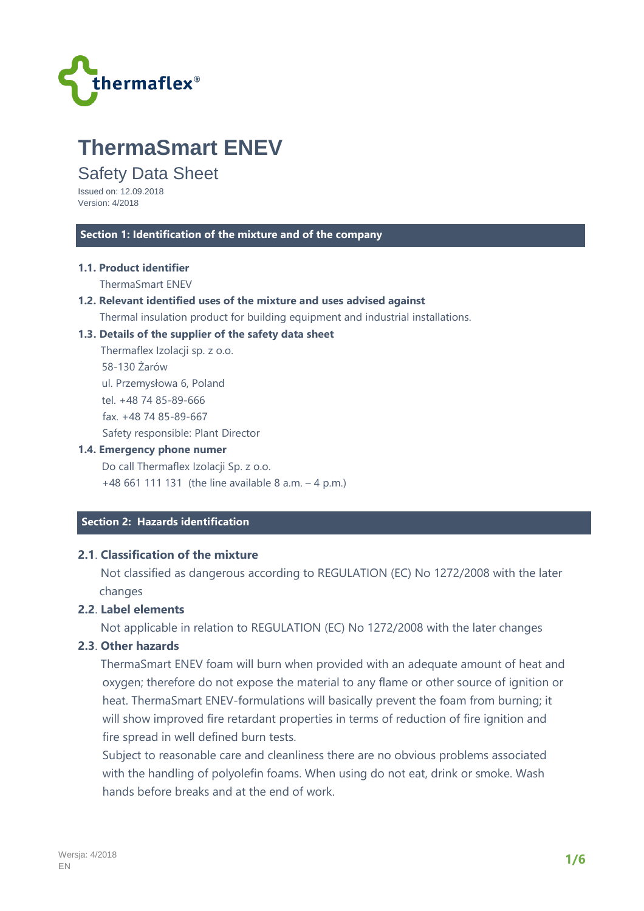

# **ThermaSmart ENEV**

# Safety Data Sheet

Issued on: 12.09.2018 Version: 4/2018

#### **Section 1: Identification of the mixture and of the company**

#### **1.1. Product identifier**

ThermaSmart ENEV

#### **1.2. Relevant identified uses of the mixture and uses advised against**

Thermal insulation product for building equipment and industrial installations.

#### **1.3. Details of the supplier of the safety data sheet**

 Thermaflex Izolacji sp. z o.o. 58-130 Żarów ul. Przemysłowa 6, Poland tel. +48 74 85-89-666 fax. +48 74 85-89-667 Safety responsible: Plant Director

#### **1.4. Emergency phone numer**

 Do call Thermaflex Izolacji Sp. z o.o. +48 661 111 131 (the line available 8 a.m. – 4 p.m.)

# **Section 2: Hazards identification**

# **2.1**. **Classification of the mixture**

 Not classified as dangerous according to REGULATION (EC) No 1272/2008 with the later changes

# **2.2**. **Label elements**

Not applicable in relation to REGULATION (EC) No 1272/2008 with the later changes

## **2.3**. **Other hazards**

 ThermaSmart ENEV foam will burn when provided with an adequate amount of heat and oxygen; therefore do not expose the material to any flame or other source of ignition or heat. ThermaSmart ENEV-formulations will basically prevent the foam from burning; it will show improved fire retardant properties in terms of reduction of fire ignition and fire spread in well defined burn tests.

Subject to reasonable care and cleanliness there are no obvious problems associated with the handling of polyolefin foams. When using do not eat, drink or smoke. Wash hands before breaks and at the end of work.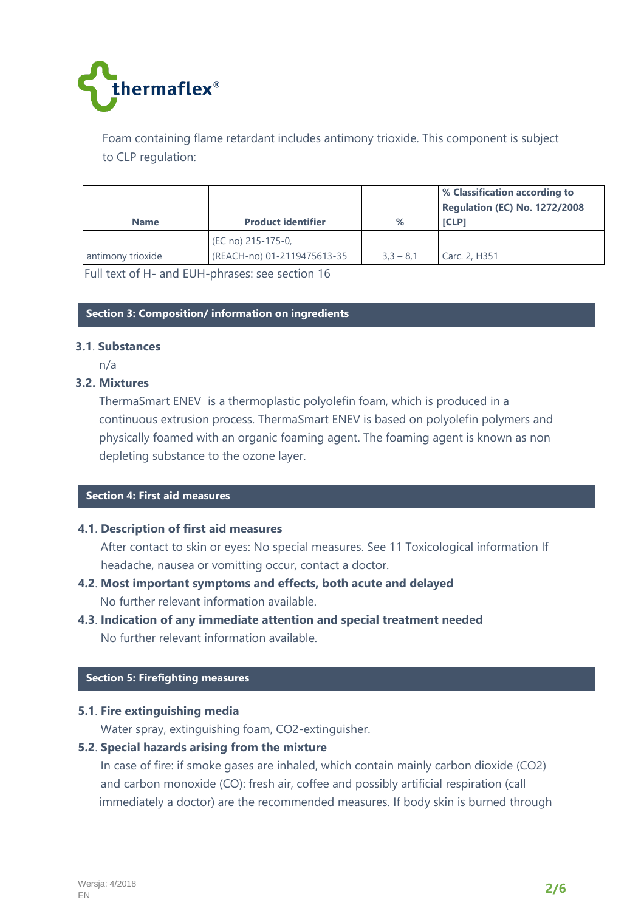

Foam containing flame retardant includes antimony trioxide. This component is subject to CLP regulation:

| <b>Name</b>       | <b>Product identifier</b>                         | %           | <b>1% Classification according to</b><br><b>Regulation (EC) No. 1272/2008</b><br><b>ICLP1</b> |
|-------------------|---------------------------------------------------|-------------|-----------------------------------------------------------------------------------------------|
| antimony trioxide | (EC no) 215-175-0,<br>(REACH-no) 01-2119475613-35 | $3.3 - 8.1$ | Carc. 2, H351                                                                                 |

Full text of H- and EUH-phrases: see section 16

#### **Section 3: Composition/ information on ingredients**

#### **3.1**. **Substances**

n/a

## **3.2. Mixtures**

ThermaSmart ENEV is a thermoplastic polyolefin foam, which is produced in a continuous extrusion process. ThermaSmart ENEV is based on polyolefin polymers and physically foamed with an organic foaming agent. The foaming agent is known as non depleting substance to the ozone layer.

#### **Section 4: First aid measures**

## **4.1**. **Description of first aid measures**

 After contact to skin or eyes: No special measures. See 11 Toxicological information If headache, nausea or vomitting occur, contact a doctor.

- **4.2**. **Most important symptoms and effects, both acute and delayed**  No further relevant information available.
- **4.3**. **Indication of any immediate attention and special treatment needed**  No further relevant information available.

#### **Section 5: Firefighting measures**

## **5.1**. **Fire extinguishing media**

Water spray, extinguishing foam, CO2-extinguisher.

## **5.2**. **Special hazards arising from the mixture**

 In case of fire: if smoke gases are inhaled, which contain mainly carbon dioxide (CO2) and carbon monoxide (CO): fresh air, coffee and possibly artificial respiration (call immediately a doctor) are the recommended measures. If body skin is burned through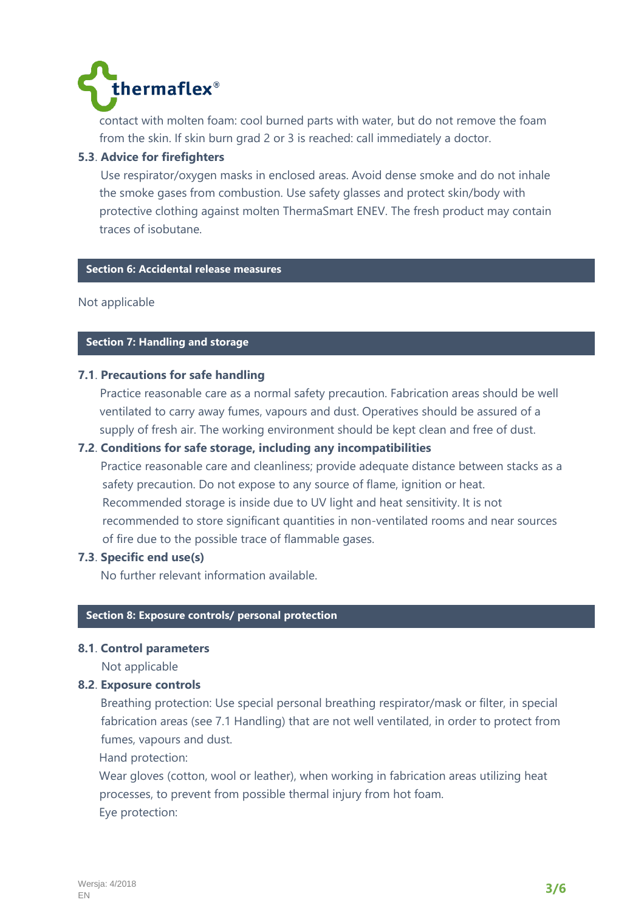

contact with molten foam: cool burned parts with water, but do not remove the foam from the skin. If skin burn grad 2 or 3 is reached: call immediately a doctor.

# **5.3**. **Advice for firefighters**

 Use respirator/oxygen masks in enclosed areas. Avoid dense smoke and do not inhale the smoke gases from combustion. Use safety glasses and protect skin/body with protective clothing against molten ThermaSmart ENEV. The fresh product may contain traces of isobutane.

# **Section 6: Accidental release measures**

Not applicable

## **Section 7: Handling and storage**

## **7.1**. **Precautions for safe handling**

Practice reasonable care as a normal safety precaution. Fabrication areas should be well ventilated to carry away fumes, vapours and dust. Operatives should be assured of a supply of fresh air. The working environment should be kept clean and free of dust.

## **7.2**. **Conditions for safe storage, including any incompatibilities**

 Practice reasonable care and cleanliness; provide adequate distance between stacks as a safety precaution. Do not expose to any source of flame, ignition or heat. Recommended storage is inside due to UV light and heat sensitivity. It is not recommended to store significant quantities in non-ventilated rooms and near sources of fire due to the possible trace of flammable gases.

## **7.3**. **Specific end use(s)**

No further relevant information available.

## **Section 8: Exposure controls/ personal protection**

## **8.1**. **Control parameters**

Not applicable

## **8.2**. **Exposure controls**

 Breathing protection: Use special personal breathing respirator/mask or filter, in special fabrication areas (see 7.1 Handling) that are not well ventilated, in order to protect from fumes, vapours and dust.

Hand protection:

 Wear gloves (cotton, wool or leather), when working in fabrication areas utilizing heat processes, to prevent from possible thermal injury from hot foam. Eye protection: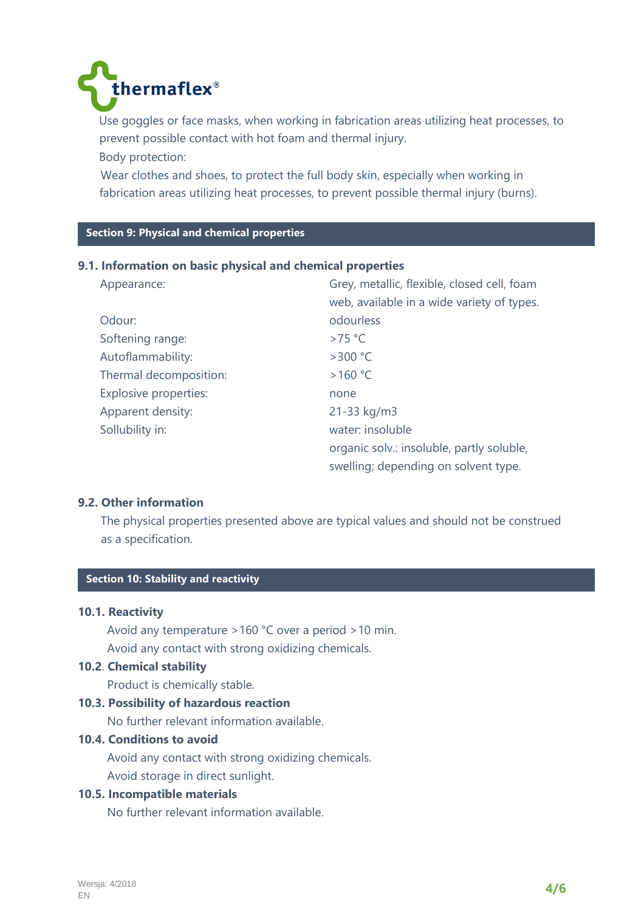

 Use goggles or face masks, when working in fabrication areas utilizing heat processes, to prevent possible contact with hot foam and thermal injury. Body protection:

 Wear clothes and shoes, to protect the full body skin, especially when working in fabrication areas utilizing heat processes, to prevent possible thermal injury (burns).

# **C Section 9: Physical and chemical properties**

## **9.1. Information on basic physical and chemical properties**

| Appearance:                  | Grey, metallic, flexible, closed cell, foam |
|------------------------------|---------------------------------------------|
|                              | web, available in a wide variety of types.  |
| Odour:                       | odourless                                   |
| Softening range:             | $>75$ °C                                    |
| Autoflammability:            | $>300$ °C                                   |
| Thermal decomposition:       | >160 °C                                     |
| <b>Explosive properties:</b> | none                                        |
| Apparent density:            | 21-33 kg/m3                                 |
| Sollubility in:              | water: insoluble                            |
|                              | organic solv.: insoluble, partly soluble,   |
|                              | swelling; depending on solvent type.        |

## **9.2. Other information**

 The physical properties presented above are typical values and should not be construed as a specification.

# **C Section 10: Stability and reactivity**

## **10.1. Reactivity**

 Avoid any temperature >160 °C over a period >10 min. Avoid any contact with strong oxidizing chemicals.

#### **10.2**. **Chemical stability**

Product is chemically stable.

#### **10.3. Possibility of hazardous reaction**

No further relevant information available.

## **10.4. Conditions to avoid**

 Avoid any contact with strong oxidizing chemicals. Avoid storage in direct sunlight.

# **10.5. Incompatible materials**

No further relevant information available.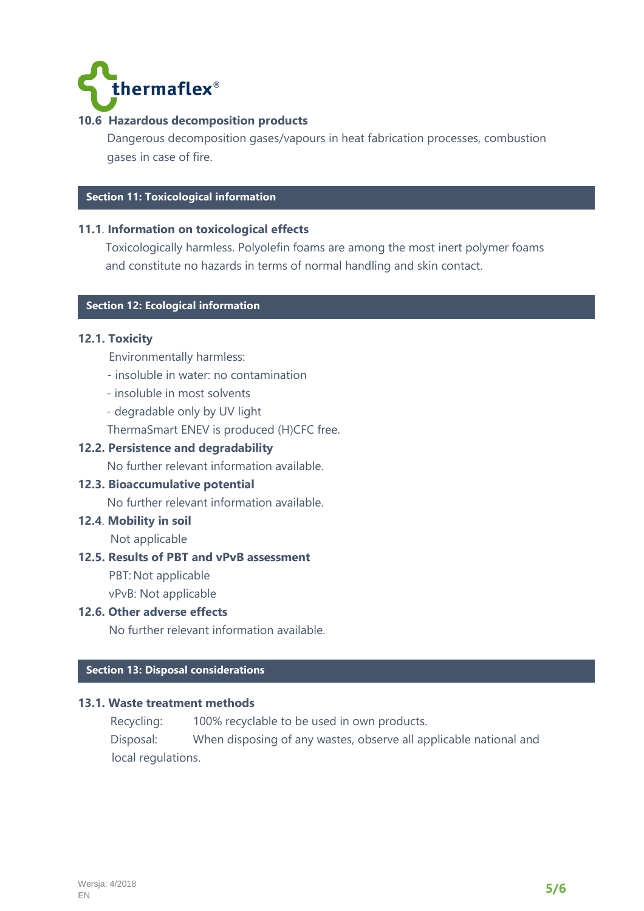

# **10.6 Hazardous decomposition products**

 Dangerous decomposition gases/vapours in heat fabrication processes, combustion gases in case of fire.

# **Section 11: Toxicological information**

## **11.1**. **Information on toxicological effects**

Toxicologically harmless. Polyolefin foams are among the most inert polymer foams and constitute no hazards in terms of normal handling and skin contact.

# **C Section 12: Ecological information**

## **12.1. Toxicity**

- Environmentally harmless:
- insoluble in water: no contamination
- insoluble in most solvents
- degradable only by UV light
- ThermaSmart ENEV is produced (H)CFC free.

## **12.2. Persistence and degradability**

No further relevant information available.

#### **12.3. Bioaccumulative potential**

No further relevant information available.

# **12.4**. **Mobility in soil**

Not applicable

#### **12.5. Results of PBT and vPvB assessment**

PBT: Not applicable

vPvB: Not applicable

#### **12.6. Other adverse effects**

No further relevant information available.

# **C Section 13: Disposal considerations**

#### **13.1. Waste treatment methods**

Recycling: 100% recyclable to be used in own products.

 Disposal: When disposing of any wastes, observe all applicable national and local regulations.